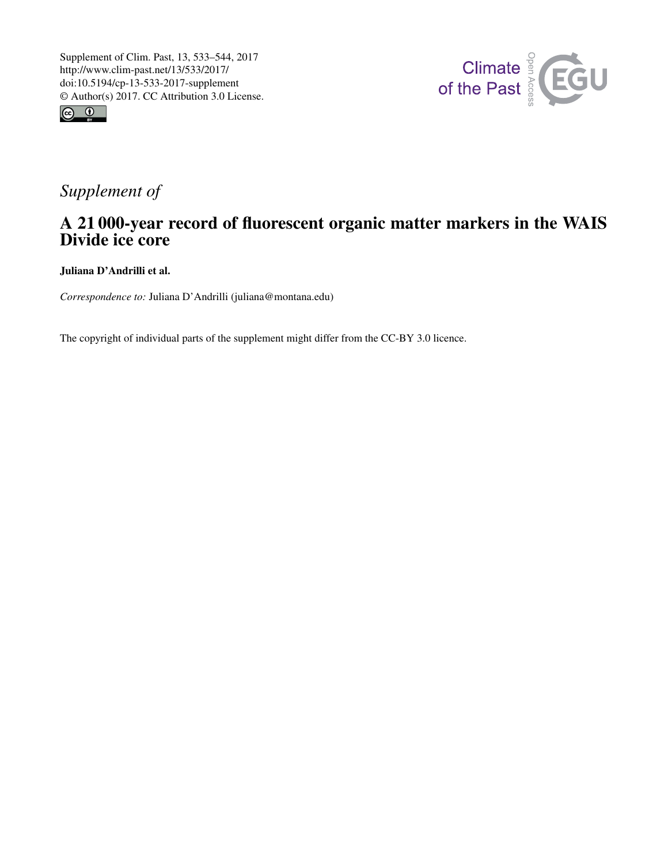



## *Supplement of*

## A 21 000-year record of fluorescent organic matter markers in the WAIS Divide ice core

Juliana D'Andrilli et al.

*Correspondence to:* Juliana D'Andrilli (juliana@montana.edu)

The copyright of individual parts of the supplement might differ from the CC-BY 3.0 licence.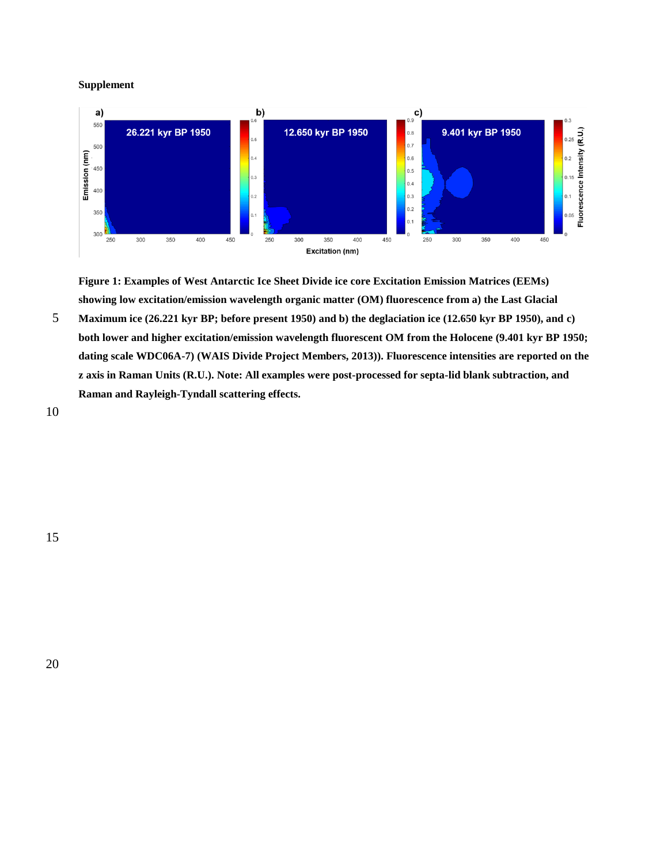**Supplement**



**Figure 1: Examples of West Antarctic Ice Sheet Divide ice core Excitation Emission Matrices (EEMs) showing low excitation/emission wavelength organic matter (OM) fluorescence from a) the Last Glacial** 

5 **Maximum ice (26.221 kyr BP; before present 1950) and b) the deglaciation ice (12.650 kyr BP 1950), and c) both lower and higher excitation/emission wavelength fluorescent OM from the Holocene (9.401 kyr BP 1950; dating scale WDC06A-7) (WAIS Divide Project Members, 2013)). Fluorescence intensities are reported on the z axis in Raman Units (R.U.). Note: All examples were post-processed for septa-lid blank subtraction, and Raman and Rayleigh-Tyndall scattering effects.**

10

15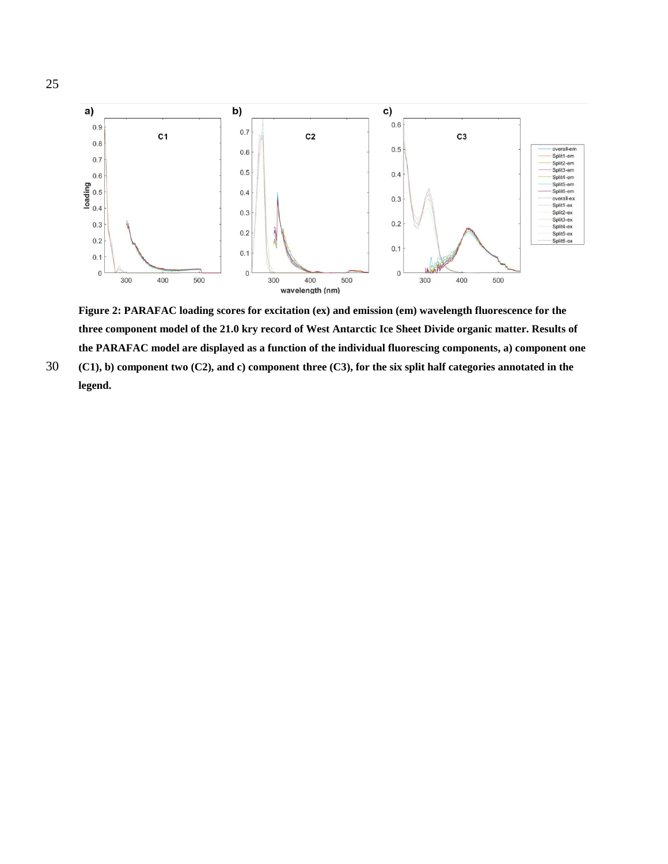

**Figure 2: PARAFAC loading scores for excitation (ex) and emission (em) wavelength fluorescence for the three component model of the 21.0 kry record of West Antarctic Ice Sheet Divide organic matter. Results of the PARAFAC model are displayed as a function of the individual fluorescing components, a) component one** 

30 **(C1), b) component two (C2), and c) component three (C3), for the six split half categories annotated in the legend.**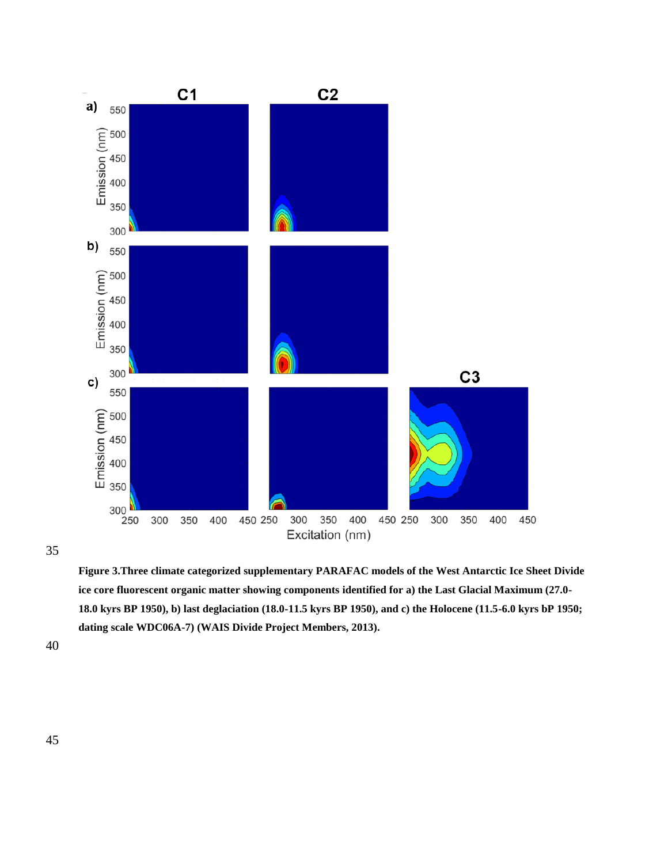

**Figure 3.Three climate categorized supplementary PARAFAC models of the West Antarctic Ice Sheet Divide ice core fluorescent organic matter showing components identified for a) the Last Glacial Maximum (27.0- 18.0 kyrs BP 1950), b) last deglaciation (18.0-11.5 kyrs BP 1950), and c) the Holocene (11.5-6.0 kyrs bP 1950; dating scale WDC06A-7) (WAIS Divide Project Members, 2013).** 

40